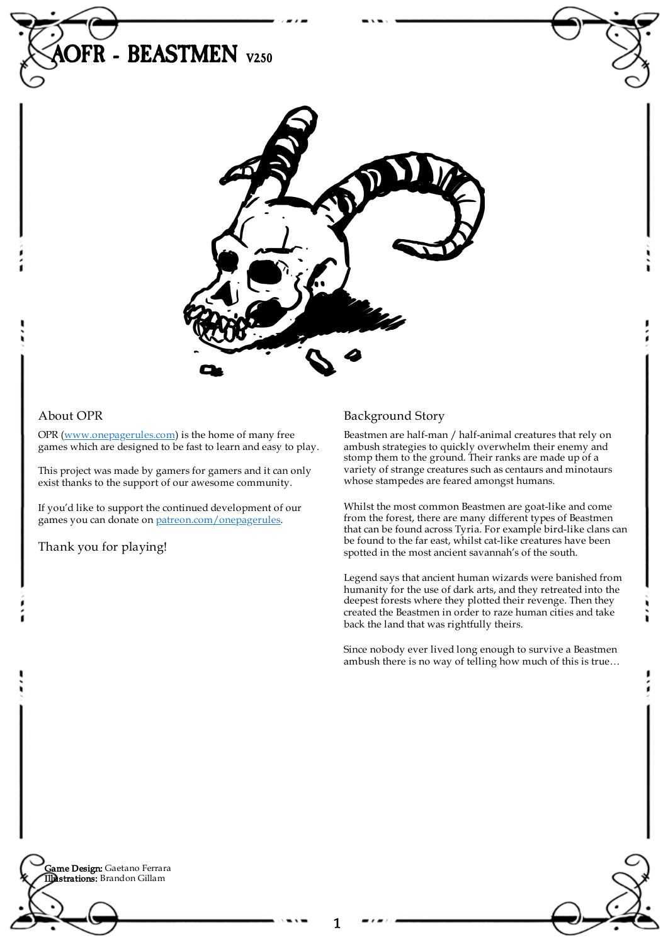

## About OPR

OPR [\(www.onepagerules.com](https://webapp.onepagerules.com/army-books/view/TciwNI3AOMXAM-dr~6/https//www.onepagerules.com)) is the home of many free games which are designed to be fast to learn and easy to play.

This project was made by gamers for gamers and it can only exist thanks to the support of our awesome community.

If you'd like to support the continued development of our games you can donate on [patreon.com/onepagerules](https://www.patreon.com/onepagerules).

Thank you for playing!

## Background Story

Beastmen are half-man / half-animal creatures that rely on ambush strategies to quickly overwhelm their enemy and stomp them to the ground. Their ranks are made up of a variety of strange creatures such as centaurs and minotaurs whose stampedes are feared amongst humans.

Whilst the most common Beastmen are goat-like and come from the forest, there are many different types of Beastmen that can be found across Tyria. For example bird-like clans can be found to the far east, whilst cat-like creatures have been spotted in the most ancient savannah's of the south.

Legend says that ancient human wizards were banished from humanity for the use of dark arts, and they retreated into the deepest forests where they plotted their revenge. Then they created the Beastmen in order to raze human cities and take back the land that was rightfully theirs.

Since nobody ever lived long enough to survive a Beastmen ambush there is no way of telling how much of this is true…